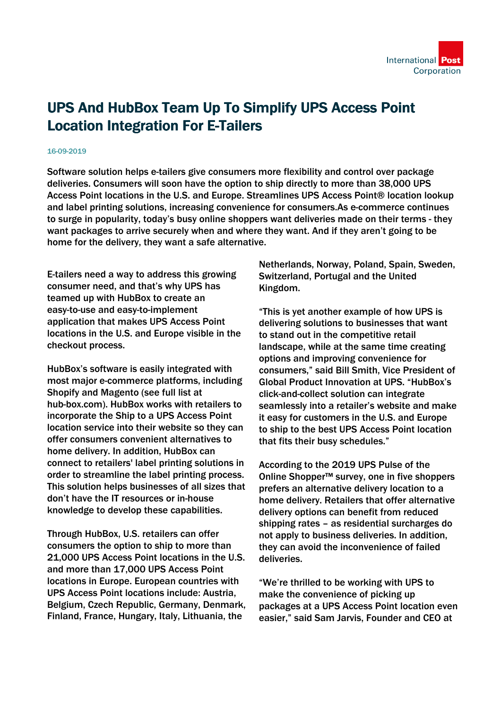

## UPS And HubBox Team Up To Simplify UPS Access Point Location Integration For E-Tailers

## 16-09-2019

Software solution helps e-tailers give consumers more flexibility and control over package deliveries. Consumers will soon have the option to ship directly to more than 38,000 UPS Access Point locations in the U.S. and Europe. Streamlines UPS Access Point® location lookup and label printing solutions, increasing convenience for consumers.As e-commerce continues to surge in popularity, today's busy online shoppers want deliveries made on their terms - they want packages to arrive securely when and where they want. And if they aren't going to be home for the delivery, they want a safe alternative.

E-tailers need a way to address this growing consumer need, and that's why UPS has teamed up with HubBox to create an easy-to-use and easy-to-implement application that makes UPS Access Point locations in the U.S. and Europe visible in the checkout process.

HubBox's software is easily integrated with most major e-commerce platforms, including Shopify and Magento (see full list at hub-box.com). HubBox works with retailers to incorporate the Ship to a UPS Access Point location service into their website so they can offer consumers convenient alternatives to home delivery. In addition, HubBox can connect to retailers' label printing solutions in order to streamline the label printing process. This solution helps businesses of all sizes that don't have the IT resources or in-house knowledge to develop these capabilities.

Through HubBox, U.S. retailers can offer consumers the option to ship to more than 21,000 UPS Access Point locations in the U.S. and more than 17,000 UPS Access Point locations in Europe. European countries with UPS Access Point locations include: Austria, Belgium, Czech Republic, Germany, Denmark, Finland, France, Hungary, Italy, Lithuania, the

Netherlands, Norway, Poland, Spain, Sweden, Switzerland, Portugal and the United Kingdom.

"This is yet another example of how UPS is delivering solutions to businesses that want to stand out in the competitive retail landscape, while at the same time creating options and improving convenience for consumers," said Bill Smith, Vice President of Global Product Innovation at UPS. "HubBox's click-and-collect solution can integrate seamlessly into a retailer's website and make it easy for customers in the U.S. and Europe to ship to the best UPS Access Point location that fits their busy schedules."

According to the 2019 UPS Pulse of the Online Shopper™ survey, one in five shoppers prefers an alternative delivery location to a home delivery. Retailers that offer alternative delivery options can benefit from reduced shipping rates – as residential surcharges do not apply to business deliveries. In addition, they can avoid the inconvenience of failed deliveries.

"We're thrilled to be working with UPS to make the convenience of picking up packages at a UPS Access Point location even easier," said Sam Jarvis, Founder and CEO at